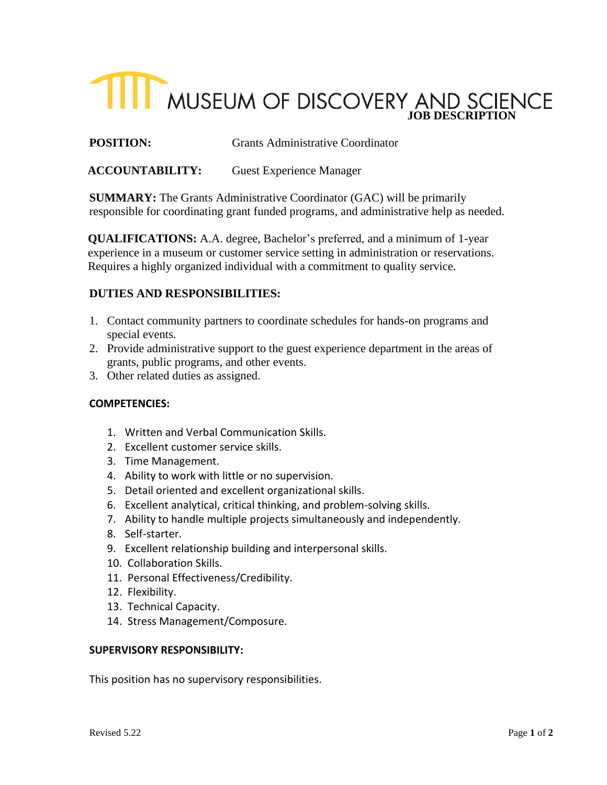# **TILL MUSEUM OF DISCOVERY AND SCIENCE**

**POSITION:** Grants Administrative Coordinator

# **ACCOUNTABILITY:** Guest Experience Manager

**SUMMARY:** The Grants Administrative Coordinator (GAC) will be primarily responsible for coordinating grant funded programs, and administrative help as needed.

**QUALIFICATIONS:** A.A. degree, Bachelor's preferred, and a minimum of 1-year experience in a museum or customer service setting in administration or reservations. Requires a highly organized individual with a commitment to quality service.

# **DUTIES AND RESPONSIBILITIES:**

- 1. Contact community partners to coordinate schedules for hands-on programs and special events.
- 2. Provide administrative support to the guest experience department in the areas of grants, public programs, and other events.
- 3. Other related duties as assigned.

## **COMPETENCIES:**

- 1. Written and Verbal Communication Skills.
- 2. Excellent customer service skills.
- 3. Time Management.
- 4. Ability to work with little or no supervision.
- 5. Detail oriented and excellent organizational skills.
- 6. Excellent analytical, critical thinking, and problem-solving skills.
- 7. Ability to handle multiple projects simultaneously and independently.
- 8. Self-starter.
- 9. Excellent relationship building and interpersonal skills.
- 10. Collaboration Skills.
- 11. Personal Effectiveness/Credibility.
- 12. Flexibility.
- 13. Technical Capacity.
- 14. Stress Management/Composure.

#### **SUPERVISORY RESPONSIBILITY:**

This position has no supervisory responsibilities.